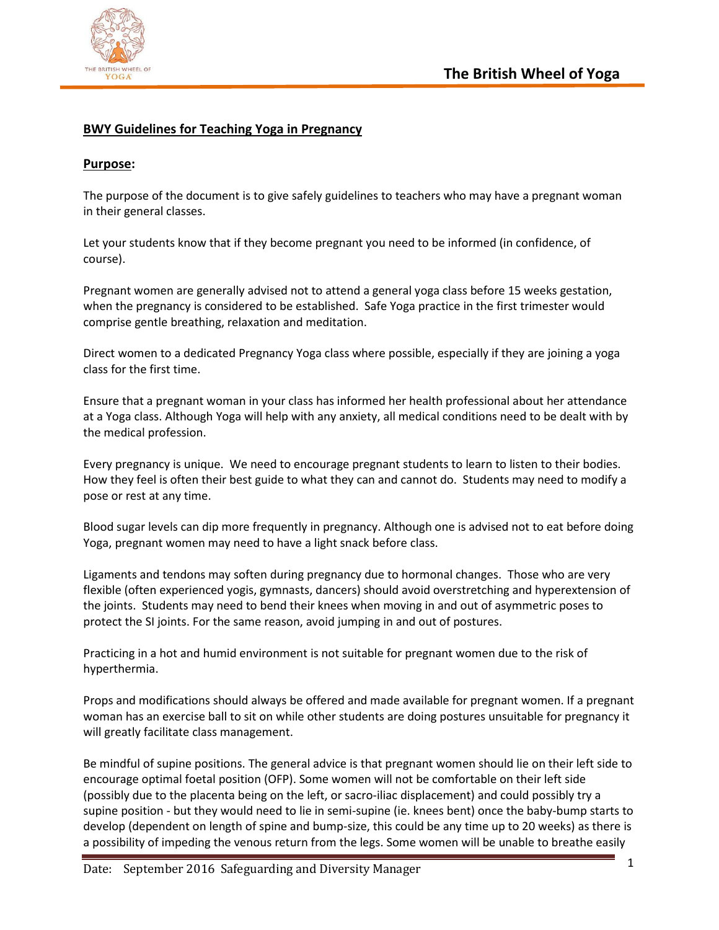

## **BWY Guidelines for Teaching Yoga in Pregnancy**

## **Purpose:**

The purpose of the document is to give safely guidelines to teachers who may have a pregnant woman in their general classes.

Let your students know that if they become pregnant you need to be informed (in confidence, of course).

Pregnant women are generally advised not to attend a general yoga class before 15 weeks gestation, when the pregnancy is considered to be established. Safe Yoga practice in the first trimester would comprise gentle breathing, relaxation and meditation.

Direct women to a dedicated Pregnancy Yoga class where possible, especially if they are joining a yoga class for the first time.

Ensure that a pregnant woman in your class has informed her health professional about her attendance at a Yoga class. Although Yoga will help with any anxiety, all medical conditions need to be dealt with by the medical profession.

Every pregnancy is unique. We need to encourage pregnant students to learn to listen to their bodies. How they feel is often their best guide to what they can and cannot do. Students may need to modify a pose or rest at any time.

Blood sugar levels can dip more frequently in pregnancy. Although one is advised not to eat before doing Yoga, pregnant women may need to have a light snack before class.

Ligaments and tendons may soften during pregnancy due to hormonal changes. Those who are very flexible (often experienced yogis, gymnasts, dancers) should avoid overstretching and hyperextension of the joints. Students may need to bend their knees when moving in and out of asymmetric poses to protect the SI joints. For the same reason, avoid jumping in and out of postures.

Practicing in a hot and humid environment is not suitable for pregnant women due to the risk of hyperthermia.

Props and modifications should always be offered and made available for pregnant women. If a pregnant woman has an exercise ball to sit on while other students are doing postures unsuitable for pregnancy it will greatly facilitate class management.

Be mindful of supine positions. The general advice is that pregnant women should lie on their left side to encourage optimal foetal position (OFP). Some women will not be comfortable on their left side (possibly due to the placenta being on the left, or sacro-iliac displacement) and could possibly try a supine position - but they would need to lie in semi-supine (ie. knees bent) once the baby-bump starts to develop (dependent on length of spine and bump-size, this could be any time up to 20 weeks) as there is a possibility of impeding the venous return from the legs. Some women will be unable to breathe easily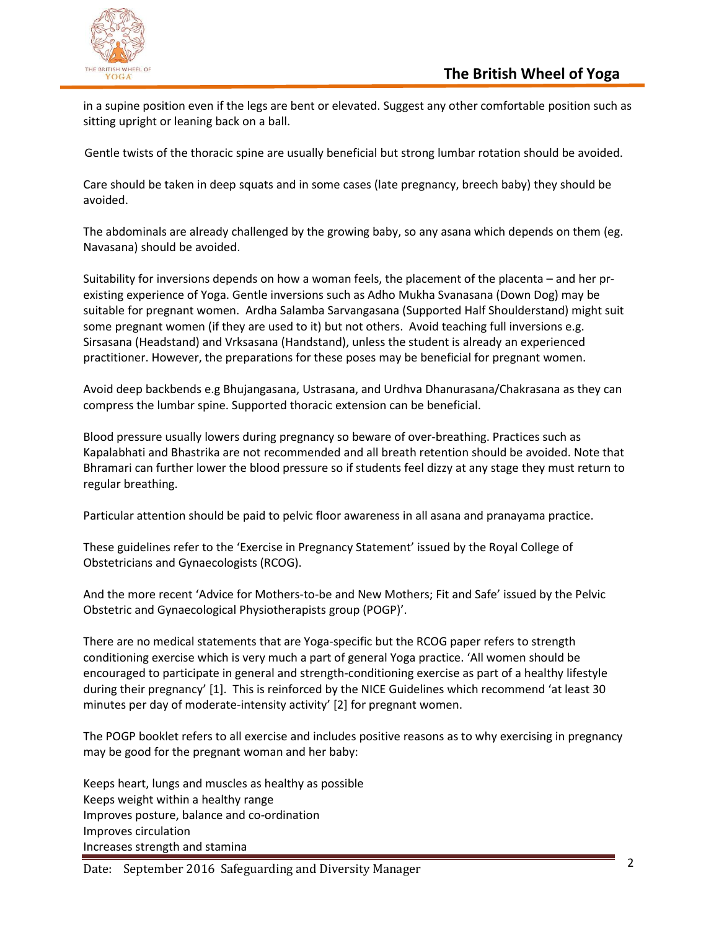

in a supine position even if the legs are bent or elevated. Suggest any other comfortable position such as sitting upright or leaning back on a ball.

Gentle twists of the thoracic spine are usually beneficial but strong lumbar rotation should be avoided.

Care should be taken in deep squats and in some cases (late pregnancy, breech baby) they should be avoided.

The abdominals are already challenged by the growing baby, so any asana which depends on them (eg. Navasana) should be avoided.

Suitability for inversions depends on how a woman feels, the placement of the placenta – and her prexisting experience of Yoga. Gentle inversions such as Adho Mukha Svanasana (Down Dog) may be suitable for pregnant women. Ardha Salamba Sarvangasana (Supported Half Shoulderstand) might suit some pregnant women (if they are used to it) but not others. Avoid teaching full inversions e.g. Sirsasana (Headstand) and Vrksasana (Handstand), unless the student is already an experienced practitioner. However, the preparations for these poses may be beneficial for pregnant women.

Avoid deep backbends e.g Bhujangasana, Ustrasana, and Urdhva Dhanurasana/Chakrasana as they can compress the lumbar spine. Supported thoracic extension can be beneficial.

Blood pressure usually lowers during pregnancy so beware of over-breathing. Practices such as Kapalabhati and Bhastrika are not recommended and all breath retention should be avoided. Note that Bhramari can further lower the blood pressure so if students feel dizzy at any stage they must return to regular breathing.

Particular attention should be paid to pelvic floor awareness in all asana and pranayama practice.

These guidelines refer to the 'Exercise in Pregnancy Statement' issued by the Royal College of Obstetricians and Gynaecologists (RCOG).

And the more recent 'Advice for Mothers-to-be and New Mothers; Fit and Safe' issued by the Pelvic Obstetric and Gynaecological Physiotherapists group (POGP)'.

There are no medical statements that are Yoga-specific but the RCOG paper refers to strength conditioning exercise which is very much a part of general Yoga practice. 'All women should be encouraged to participate in general and strength-conditioning exercise as part of a healthy lifestyle during their pregnancy' [1]. This is reinforced by the NICE Guidelines which recommend 'at least 30 minutes per day of moderate-intensity activity' [2] for pregnant women.

The POGP booklet refers to all exercise and includes positive reasons as to why exercising in pregnancy may be good for the pregnant woman and her baby:

Keeps heart, lungs and muscles as healthy as possible Keeps weight within a healthy range Improves posture, balance and co-ordination Improves circulation Increases strength and stamina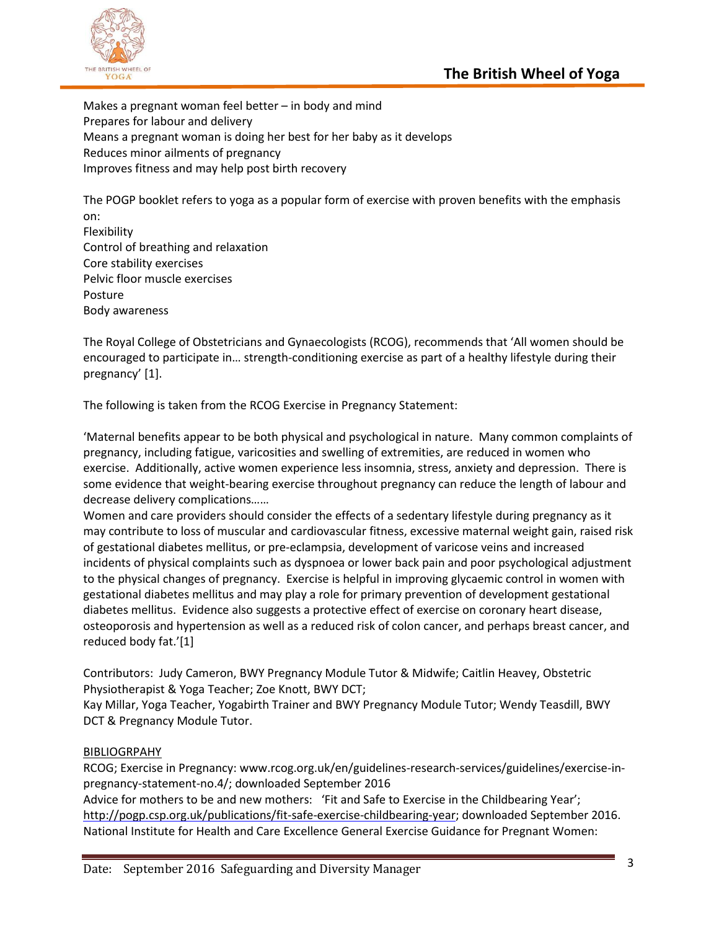



Makes a pregnant woman feel better – in body and mind Prepares for labour and delivery Means a pregnant woman is doing her best for her baby as it develops Reduces minor ailments of pregnancy Improves fitness and may help post birth recovery

The POGP booklet refers to yoga as a popular form of exercise with proven benefits with the emphasis on: Flexibility Control of breathing and relaxation Core stability exercises

Pelvic floor muscle exercises

Posture

Body awareness

The Royal College of Obstetricians and Gynaecologists (RCOG), recommends that 'All women should be encouraged to participate in… strength-conditioning exercise as part of a healthy lifestyle during their pregnancy' [1].

The following is taken from the RCOG Exercise in Pregnancy Statement:

'Maternal benefits appear to be both physical and psychological in nature. Many common complaints of pregnancy, including fatigue, varicosities and swelling of extremities, are reduced in women who exercise. Additionally, active women experience less insomnia, stress, anxiety and depression. There is some evidence that weight-bearing exercise throughout pregnancy can reduce the length of labour and decrease delivery complications……

Women and care providers should consider the effects of a sedentary lifestyle during pregnancy as it may contribute to loss of muscular and cardiovascular fitness, excessive maternal weight gain, raised risk of gestational diabetes mellitus, or pre-eclampsia, development of varicose veins and increased incidents of physical complaints such as dyspnoea or lower back pain and poor psychological adjustment to the physical changes of pregnancy. Exercise is helpful in improving glycaemic control in women with gestational diabetes mellitus and may play a role for primary prevention of development gestational diabetes mellitus. Evidence also suggests a protective effect of exercise on coronary heart disease, osteoporosis and hypertension as well as a reduced risk of colon cancer, and perhaps breast cancer, and reduced body fat.'[1]

Contributors: Judy Cameron, BWY Pregnancy Module Tutor & Midwife; Caitlin Heavey, Obstetric Physiotherapist & Yoga Teacher; Zoe Knott, BWY DCT;

Kay Millar, Yoga Teacher, Yogabirth Trainer and BWY Pregnancy Module Tutor; Wendy Teasdill, BWY DCT & Pregnancy Module Tutor.

## BIBLIOGRPAHY

RCOG; Exercise in Pregnancy: www.rcog.org.uk/en/guidelines-research-services/guidelines/exercise-inpregnancy-statement-no.4/; downloaded September 2016

Advice for mothers to be and new mothers: 'Fit and Safe to Exercise in the Childbearing Year'; [http://pogp.csp.org.uk/publications/fit-safe-exercise-childbearing-year;](http://pogp.csp.org.uk/publications/fit-safe-exercise-childbearing-year) downloaded September 2016. National Institute for Health and Care Excellence General Exercise Guidance for Pregnant Women: